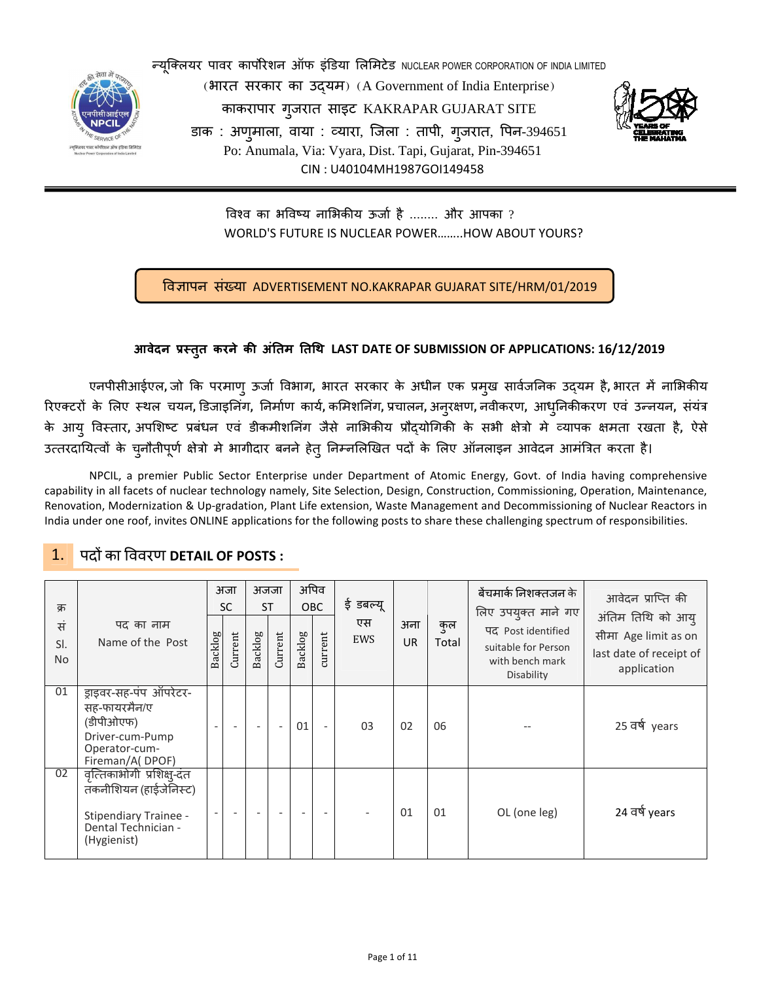

CIN : U40104MH1987GOI149458 न्यूक्लियर पावर कार्पोरेशन ऑफ इंडिया लिमिटेड NUCLEAR POWER CORPORATION OF INDIA LIMITED (भारत सरकार का उदयम) (A Government of India Enterprise) काकरापार गुजरात साइट KAKRAPAR GUJARAT SITE डाक : अण्माला, वाया : व्यारा, जिला : तापी, ग्जरात, पिन-394651 Po: Anumala, Via: Vyara, Dist. Tapi, Gujarat, Pin-394651



विश्व का भविष्य नाभिकीय ऊर्जा है ........ और आपका ? WORLD'S FUTURE IS NUCLEAR POWER……..HOW ABOUT YOURS?

विज्ञापन संख्या ADVERTISEMENT NO.KAKRAPAR GUJARAT SITE/HRM/01/2019

# **आवेदन तत करने क ु अंतम तथ LAST DATE OF SUBMISSION OF APPLICATIONS: 16/12/2019**

एनपीसीआईएल, जो कि परमाण् ऊर्जा विभाग, भारत सरकार के अधीन एक प्रमुख सार्वजनिक उद्**यम है, भारत में नाभिकीय** रिएक्टरों के लिए स्थल चयन, डिजाइनिंग, निर्माण कार्य, कमिशनिंग, प्रचालन, अनुरक्षण, नवीकरण, आधुनिकीकरण एवं उन्नयन, संयंत्र के आय् विस्तार, अपशिष्ट प्रबंधन एवं डीकमीशनिंग जैसे नाभिकीय प्रौद्**योगिकी के सभी क्षेत्रो मे व्यापक क्षमता** रखता है, ऐसे उत्तरदायित्वों के चुनौतीपूर्ण क्षेत्रो मे भागीदार बनने हेत् निम्नलिखित पदों के लिए ऑनलाइन आवेदन आमंत्रित करता है।

 NPCIL, a premier Public Sector Enterprise under Department of Atomic Energy, Govt. of India having comprehensive capability in all facets of nuclear technology namely, Site Selection, Design, Construction, Commissioning, Operation, Maintenance, Renovation, Modernization & Up-gradation, Plant Life extension, Waste Management and Decommissioning of Nuclear Reactors in India under one roof, invites ONLINE applications for the following posts to share these challenging spectrum of responsibilities.

# 1. पद/ का ववरण **DETAIL OF POSTS :**

| क्र<br>सं<br>SI.<br>N <sub>o</sub> | पद का नाम<br>Name of the Post                                                                                      | Backlog | अजा<br>SC<br>Current     | अजजा<br><b>ST</b><br>Backlog | Current                  | Backlog                  | अपिव<br><b>OBC</b><br>current | ई डबल्यू<br>एस<br>EWS | अना<br><b>UR</b> | कुल<br>Total | बेंचमार्क निशक्तजन के<br>लिए उपयुक्त माने गए<br>पद Post identified<br>suitable for Person<br>with bench mark<br>Disability | आवेदन प्राप्ति की<br>अंतिम तिथि को आय्<br>सीमा Age limit as on<br>last date of receipt of<br>application |
|------------------------------------|--------------------------------------------------------------------------------------------------------------------|---------|--------------------------|------------------------------|--------------------------|--------------------------|-------------------------------|-----------------------|------------------|--------------|----------------------------------------------------------------------------------------------------------------------------|----------------------------------------------------------------------------------------------------------|
| 01                                 | ड्राइवर-सह-पंप ऑपरेटर-<br>सह-फायरमैन/ए<br>(डीपीओएफ)<br>Driver-cum-Pump<br>Operator-cum-<br>Fireman/A(DPOF)         |         | $\overline{\phantom{a}}$ |                              | $\overline{\phantom{a}}$ | 01                       | $\overline{\phantom{a}}$      | 03                    | 02               | 06           |                                                                                                                            | 25 वर्ष years                                                                                            |
| 02                                 | वृत्तिकाभोगी प्रशिक्ष्-दंत<br>तकनीशियन (हाईजेनिस्ट)<br>Stipendiary Trainee -<br>Dental Technician -<br>(Hygienist) |         | $\overline{\phantom{a}}$ | $\overline{\phantom{0}}$     | $\overline{\phantom{a}}$ | $\overline{\phantom{a}}$ | $\overline{\phantom{a}}$      |                       | 01               | 01           | OL (one leg)                                                                                                               | 24 वर्ष years                                                                                            |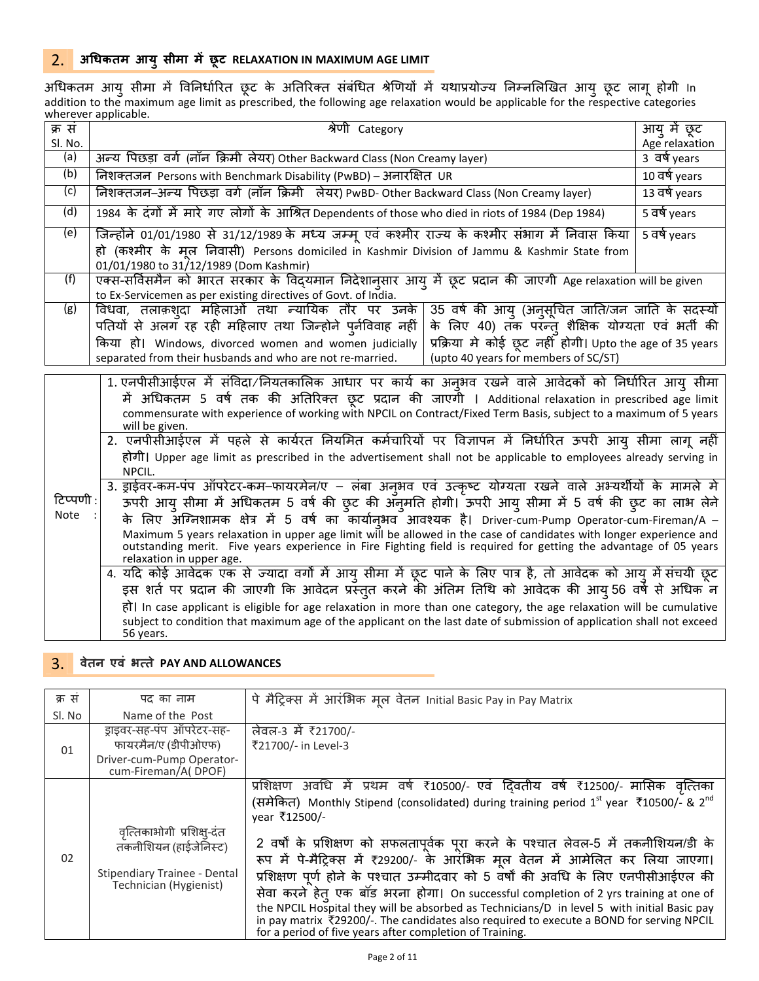## 2. अधिकतम आयु सीमा में छूट RELAXATION IN MAXIMUM AGE LIMIT

अधिकतम आयु सीमा में विनिर्धारित छूट के अतिरिक्त संबंधित श्रेणियों में यथाप्रयोज्य निम्नलिखित आयु छूट लागू होगी In addition to the maximum age limit as prescribed, the following age relaxation would be applicable for the respective categories wherever applicable.

| क्र सं  | श्रेणी Category                                                                                                                                                                     | आयु में छूट   |  |  |  |  |
|---------|-------------------------------------------------------------------------------------------------------------------------------------------------------------------------------------|---------------|--|--|--|--|
| Sl. No. |                                                                                                                                                                                     |               |  |  |  |  |
| (a)     | अन्य पिछड़ा वर्ग (नॉन क्रिमी लेयर) Other Backward Class (Non Creamy layer)                                                                                                          |               |  |  |  |  |
| (b)     | निशक्तजन Persons with Benchmark Disability (PwBD) – अनारक्षित UR                                                                                                                    | 10 वर्ष years |  |  |  |  |
| (c)     | निशक्तजन-अन्य पिछड़ा वर्ग (नॉन क्रिमी) लेयर) PwBD- Other Backward Class (Non Creamy layer)                                                                                          | 13 वर्ष years |  |  |  |  |
| (d)     | 1984 के दंगों में मारे गए लोगों के आश्रित Dependents of those who died in riots of 1984 (Dep 1984)<br>5 वर्ष years                                                                  |               |  |  |  |  |
| (e)     | जिन्होंने 01/01/1980 से 31/12/1989 के मध्य जम्मू एवं कश्मीर राज्य के कश्मीर संभाग में निवास किया                                                                                    |               |  |  |  |  |
|         | हो (कश्मीर के मृल निवासी) Persons domiciled in Kashmir Division of Jammu & Kashmir State from                                                                                       |               |  |  |  |  |
|         | 01/01/1980 to 31/12/1989 (Dom Kashmir)                                                                                                                                              |               |  |  |  |  |
| (f)     | एक्स-सर्विसमैन को भारत सरकार के विद्यमान निदेशान् <b>सार आयु में छूट प्रदान की जाएगी Age</b> relaxation will be given                                                               |               |  |  |  |  |
|         | to Ex-Servicemen as per existing directives of Govt. of India.                                                                                                                      |               |  |  |  |  |
| (g)     | विधवा, तलाक़श़्दा महिलाओं तथा न्यायिक तौर पर उनके<br>35 वर्ष की आयु (अनुसूचित जाति/जन जाति के सदस्यों                                                                               |               |  |  |  |  |
|         | के लिए 40) तक परन्तु शैक्षिक योग्यता एवं भर्ती की<br>पतियों से अलग रह रही महिलाए तथा जिन्होने पुर्नविवाह नहीं                                                                       |               |  |  |  |  |
|         | प्रक्रिया मे कोई छूट नहीँ होगी। Upto the age of 35 years<br>किया हो। Windows, divorced women and women judicially                                                                   |               |  |  |  |  |
|         | (upto 40 years for members of SC/ST)<br>separated from their husbands and who are not re-married.                                                                                   |               |  |  |  |  |
|         | $\overline{1}$ and the contract $\overline{1}$ and $\overline{1}$ and $\overline{1}$ and $\overline{1}$ and $\overline{1}$ and $\overline{1}$ and $\overline{1}$ and $\overline{1}$ |               |  |  |  |  |

|           |                                                                                                    | 1. एनपीसीआईएल में संविदा/नियतकालिक आधार पर कार्य का अन्अव रखने वाले आवेदकों को निर्धारित आयु सीमा                                  |
|-----------|----------------------------------------------------------------------------------------------------|------------------------------------------------------------------------------------------------------------------------------------|
|           |                                                                                                    | में अधिकतम 5 वर्ष तक की अतिरिक्त छूट प्रदान की जाएगी । Additional relaxation in prescribed age limit                               |
|           |                                                                                                    | commensurate with experience of working with NPCIL on Contract/Fixed Term Basis, subject to a maximum of 5 years<br>will be given. |
|           |                                                                                                    |                                                                                                                                    |
|           |                                                                                                    | 2. एनपीसीआईएल में पहले से कार्यरत नियमित कर्मचारियों पर विज्ञापन में निर्धारित ऊपरी आयु सीमा लागू नहीं                             |
|           |                                                                                                    | होगी। Upper age limit as prescribed in the advertisement shall not be applicable to employees already serving in                   |
|           |                                                                                                    | NPCIL.                                                                                                                             |
|           |                                                                                                    | 3. ड्राईवर-कम-पंप ऑपरेटर-कम–फायरमेन/ए – लंबा अन्अव एवं उत्कृष्ट योग्यता रखने वाले अभ्यर्थीयों के मामले मे                          |
| रिप्पणी : | ऊपरी आयु सीमा में अधिकतम 5 वर्ष की छुट की अनुमति होगी। ऊपरी आयु सीमा में 5 वर्ष की छुट का लाभ लेने |                                                                                                                                    |
| Note      |                                                                                                    | के लिए अग्निशामक क्षेत्र में 5 वर्ष का कार्यानभव आवश्यक है। Driver-cum-Pump Operator-cum-Fireman/A –                               |
|           |                                                                                                    | Maximum 5 years relaxation in upper age limit will be allowed in the case of candidates with longer experience and                 |
|           |                                                                                                    | outstanding merit. Five years experience in Fire Fighting field is required for getting the advantage of 05 years                  |
|           |                                                                                                    | relaxation in upper age.                                                                                                           |
|           |                                                                                                    | 4. यदि कोई आवेदक एक से ज्यादा वर्गों में आयु सीमा में छूट पाने के लिए पात्र है, तो आवेदक को आयु में संचयी छूट                      |
|           |                                                                                                    | इस शर्त पर प्रदान की जाएगी कि आवेदन प्रस्तुत करने की अंतिम तिथि को आवेदक की आय् 56 वर्ष से अधिक <sup>े</sup> न                     |
|           |                                                                                                    | हो। In case applicant is eligible for age relaxation in more than one category, the age relaxation will be cumulative              |
|           |                                                                                                    | subject to condition that maximum age of the applicant on the last date of submission of application shall not exceed              |
|           |                                                                                                    | 56 years.                                                                                                                          |

### 3. **वेतन एवं भ ते PAY AND ALLOWANCES**

| क्र स  | पद का नाम                                                                                                     | पे मैट्रिक्स में आरंभिक मूल वेतन Initial Basic Pay in Pay Matrix                                                                                                                                                                                                                                                                                                                                                                                                                                                                                                                                                                                                                                                                                                                                                               |
|--------|---------------------------------------------------------------------------------------------------------------|--------------------------------------------------------------------------------------------------------------------------------------------------------------------------------------------------------------------------------------------------------------------------------------------------------------------------------------------------------------------------------------------------------------------------------------------------------------------------------------------------------------------------------------------------------------------------------------------------------------------------------------------------------------------------------------------------------------------------------------------------------------------------------------------------------------------------------|
| Sl. No | Name of the Post                                                                                              |                                                                                                                                                                                                                                                                                                                                                                                                                                                                                                                                                                                                                                                                                                                                                                                                                                |
| 01     | ड़ाइवर-सह-पंप ऑपरेटर-सह-<br>फायरमैन/ए (डीपीओएफ)<br>Driver-cum-Pump Operator-<br>cum-Fireman/A(DPOF)           | लेवल-3 में ₹21700/-<br>₹21700/- in Level-3                                                                                                                                                                                                                                                                                                                                                                                                                                                                                                                                                                                                                                                                                                                                                                                     |
| 02     | वृत्तिकाभोगी प्रशिक्षु-दंत<br>तकनीशियन (हाईजेनिस्ट)<br>Stipendiary Trainee - Dental<br>Technician (Hygienist) | प्रशिक्षण अवधि में प्रथम वर्ष ₹10500/- एवं दिवतीय वर्ष ₹12500/- मासिक वृत्तिका<br>(समेकित) Monthly Stipend (consolidated) during training period 1 <sup>st</sup> year ₹10500/- & 2 <sup>nd</sup><br>year ₹12500/-<br>2 वर्षों के प्रशिक्षण को सफलतापूर्वक पूरा करने के पश्चात लेवल-5 में तकनीशियन/डी के<br>रूप में पे-मैट्रिक्स में ₹29200/- के आरंभिक मूल वेतन में आमेलित कर लिया जाएगा।<br>प्रशिक्षण पूर्ण होने के पश्चात उम्मीदवार को 5 वर्षों की अवधि के लिए एनपीसीआईएल की<br>सेवा करने हेत् एक बॉड भरना होगा। On successful completion of 2 yrs training at one of<br>the NPCIL Hospital they will be absorbed as Technicians/D in level 5 with initial Basic pay<br>in pay matrix ₹29200/-. The candidates also required to execute a BOND for serving NPCIL<br>for a period of five years after completion of Training. |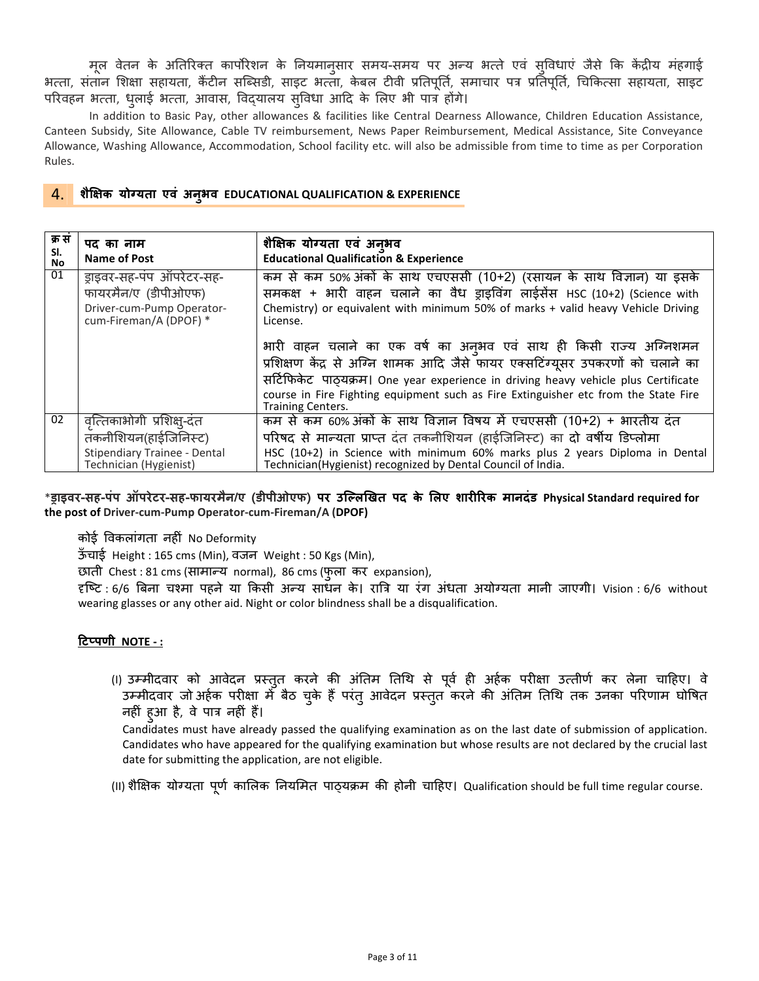मूल वेतन के अतिरिक्त कार्पोरेशन के नियमानुसार समय-समय पर अन्य भत्ते एवं सुविधाएं जैसे कि केंद्रीय महगाई भत्ता, संतान शिक्षा सहायता, कैंटीन सब्सिडी, साइट भत्ता, केबल टीवी प्रतिपूर्ति, समाचार पत्र प्रतिपूर्ति, चिकित्सा सहायता, साइट परिवहन भत्ता, धुलाई भत्ता, आवास, विद्यालय सुविधा आदि के लिए भी पात्र होंगे।

 In addition to Basic Pay, other allowances & facilities like Central Dearness Allowance, Children Education Assistance, Canteen Subsidy, Site Allowance, Cable TV reimbursement, News Paper Reimbursement, Medical Assistance, Site Conveyance Allowance, Washing Allowance, Accommodation, School facility etc. will also be admissible from time to time as per Corporation Rules.

#### 4. शैक्षिक योग्यता एवं अनुभव EDUCATIONAL QUALIFICATION & EXPERIENCE

| क्र स<br>SI.<br><b>No</b> | पद का नाम<br><b>Name of Post</b>                                                                                   | शैक्षिक योग्यता एवं अनुभव<br><b>Educational Qualification &amp; Experience</b>                                                                                                                                                                                                                                                                         |
|---------------------------|--------------------------------------------------------------------------------------------------------------------|--------------------------------------------------------------------------------------------------------------------------------------------------------------------------------------------------------------------------------------------------------------------------------------------------------------------------------------------------------|
| 01                        | ड़ाइवर-सह-पंप ऑपरेटर-सह-<br>फायरमैन/ए (डीपीओएफ)<br>Driver-cum-Pump Operator-<br>cum-Fireman/A (DPOF) *             | कम से कम 50% अंकों के साथ एचएससी (10+2) (रसायन के साथ विज्ञान) या इसके<br>समकक्ष + भारी वाहन चलाने का वैध ड्राइविंग लाईसेंस HSC (10+2) (Science with<br>Chemistry) or equivalent with minimum 50% of marks + valid heavy Vehicle Driving<br>License.                                                                                                   |
|                           |                                                                                                                    | भारी वाहन चलाने का एक वर्ष का अनुभव एवं साथ ही किसी राज्य अग्निशमन<br>प्रशिक्षण केंद्र से अग्नि शामक आदि जैसे फायर एक्सटिंग्युसर उपकरणों को चलाने का<br>सर्टिफिकेट पाठयक्रम। One year experience in driving heavy vehicle plus Certificate<br>course in Fire Fighting equipment such as Fire Extinguisher etc from the State Fire<br>Training Centers. |
| 02                        | वत्तिकाभोगी प्रशिक्ष्-दंत<br>तकनीशियन(हाईजिनिस्ट)<br><b>Stipendiary Trainee - Dental</b><br>Technician (Hygienist) | कम से कम 60% अंकों के साथ विज्ञान विषय में एचएससी (10+2) + भारतीय दंत<br>परिषद से मान्यता प्राप्त दंत तकनीशियन (हाईजिनिस्ट) का दो वर्षीय डिप्लोमा<br>HSC (10+2) in Science with minimum 60% marks plus 2 years Diploma in Dental<br>Technician(Hygienist) recognized by Dental Council of India.                                                       |

#### \***(ाइवर-सह-पंप ऑपरेटर-सह-फायरमैन/ए (डीपीओएफ) पर उि5ल7खत पद के 9लए शार:;रक मानदंड Physical Standard required for the post of Driver-cum-Pump Operator-cum-Fireman/A (DPOF)**

कोई विकलांगता नहीं No Deformity

ऊँ चाई Height : 165 cms (Min), वजन Weight : 50 Kgs (Min),

छाती Chest : 81 cms (सामान्य normal), 86 cms (फुला कर expansion),

हष्टि : 6/6 बिना चश्मा पहने या किसी अन्य साधन के। रात्रि या रंग अंधता अयोग्यता मानी जाएगी। Vision : 6/6 without wearing glasses or any other aid. Night or color blindness shall be a disqualification.

#### **<ट= पणी NOTE - :**

(I) उम्मीदवार को आवेदन प्रस्तुत करने की अंतिम तिथि से पूर्व ही अर्हक परीक्षा उत्तीर्ण कर लेना चाहिए। वे उम्मीदवार जो अर्हक परीक्षा मेँ बैठ चुके हैं परंतु आवेदन प्रस्तुत<sup>ें</sup>करने की अंतिम तिथि तक उनका परिणाम घोषित नहीं हुआ है, वे पात्र नहीं हैं।

Candidates must have already passed the qualifying examination as on the last date of submission of application. Candidates who have appeared for the qualifying examination but whose results are not declared by the crucial last date for submitting the application, are not eligible.

(II) शैक्षिक योग्यता पूर्ण कालिक नियमित पाठ्यक्रम की होनी चाहिए। Qualification should be full time regular course.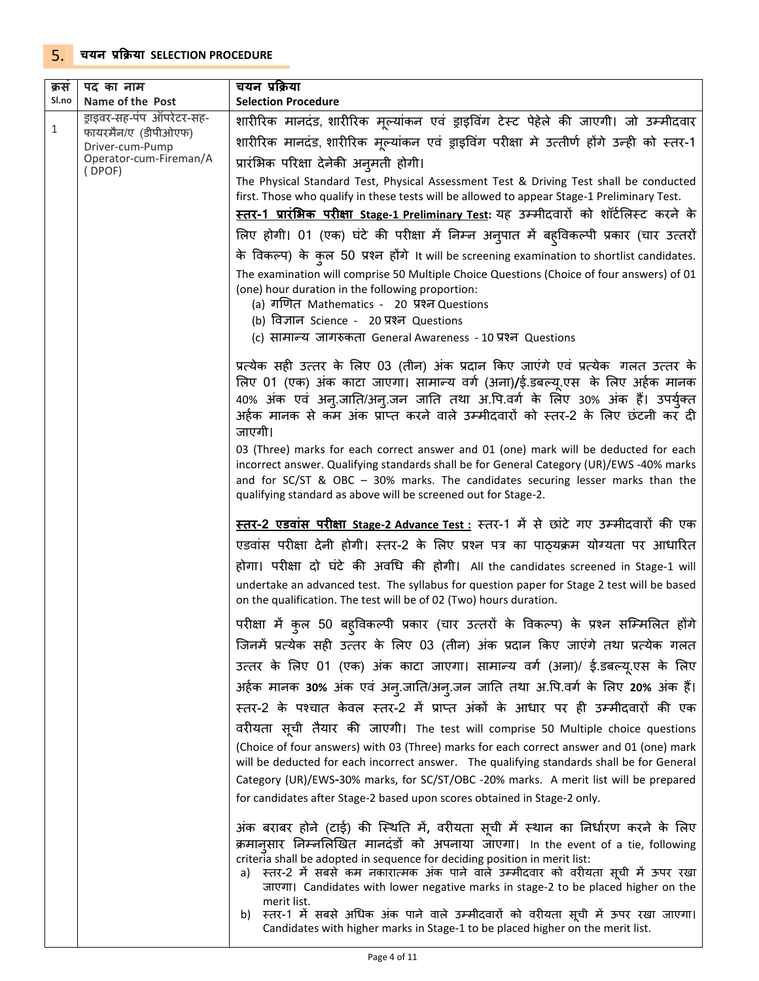| क्रस<br>Sl.no | पद का नाम<br>Name of the Post             | चयन प्रक्रिया<br><b>Selection Procedure</b>                                                                                                                                                                                                                                                                                                                                                                                                      |  |  |  |
|---------------|-------------------------------------------|--------------------------------------------------------------------------------------------------------------------------------------------------------------------------------------------------------------------------------------------------------------------------------------------------------------------------------------------------------------------------------------------------------------------------------------------------|--|--|--|
|               | ड्राइवर-सह-पंप ऑपरेटर-सह-                 | शारीरिक मानदंड, शारीरिक मूल्यांकन एवं ड्राइविंग टेस्ट पेहेले की जाएगी। जो उम्मीदवार                                                                                                                                                                                                                                                                                                                                                              |  |  |  |
| 1             | फायरमैन/ए (डीपीओएफ)                       | शारीरिक मानदंड, शारीरिक मूल्यांकन एवं ड्राइविंग परीक्षा मे उत्तीर्ण होंगे उन्ही को स्तर-1                                                                                                                                                                                                                                                                                                                                                        |  |  |  |
|               | Driver-cum-Pump<br>Operator-cum-Fireman/A | प्रारंभिक परिक्षा देनेकी अनुमती होगी।                                                                                                                                                                                                                                                                                                                                                                                                            |  |  |  |
|               | (DPOF)                                    | The Physical Standard Test, Physical Assessment Test & Driving Test shall be conducted                                                                                                                                                                                                                                                                                                                                                           |  |  |  |
|               |                                           | first. Those who qualify in these tests will be allowed to appear Stage-1 Preliminary Test.                                                                                                                                                                                                                                                                                                                                                      |  |  |  |
|               |                                           | <u>स्तर-1 प्रारंभिक परीक्षा Stage-1 Preliminary Test</u> : यह उम्मीदवारों को शॉर्टलिस्ट करने के                                                                                                                                                                                                                                                                                                                                                  |  |  |  |
|               |                                           | लिए होगी। 01 (एक) घंटे की परीक्षा में निम्न अनुपात में बहुविकल्पी प्रकार (चार उत्तरों                                                                                                                                                                                                                                                                                                                                                            |  |  |  |
|               |                                           | के विकल्प) के कुल 50 प्रश्न होंगे It will be screening examination to shortlist candidates.                                                                                                                                                                                                                                                                                                                                                      |  |  |  |
|               |                                           | The examination will comprise 50 Multiple Choice Questions (Choice of four answers) of 01<br>(one) hour duration in the following proportion:<br>(a) गणित Mathematics - 20 प्रश्न Questions<br>(b) विज्ञान Science - 20 प्रश्न Questions<br>(c) सामान्य जागरुकता General Awareness - 10 प्रश्न Questions                                                                                                                                         |  |  |  |
|               |                                           | प्रत्येक सही उत्तर के लिए 03 (तीन) अंक प्रदान किए जाएंगे एवं प्रत्येक  गलत उत्तर के<br>लिए 01 (एक) अंक काटा जाएगा। सामान्य वर्ग (अना)/ई.डबल्यू.एस के लिए अर्हक मानक<br>40% अंक एवं अनु.जाति/अनु.जन जाति तथा अ.पि.वर्ग के लिए 30% अंक हैं। उपर्युक्त<br>अर्हक मानक से कम अंक प्राप्त करने वाले उम्मीदवारों को स्तर-2 के लिए छंटनी कर दी<br>जाएगी।                                                                                                 |  |  |  |
|               |                                           | 03 (Three) marks for each correct answer and 01 (one) mark will be deducted for each<br>incorrect answer. Qualifying standards shall be for General Category (UR)/EWS -40% marks<br>and for SC/ST & OBC - 30% marks. The candidates securing lesser marks than the<br>qualifying standard as above will be screened out for Stage-2.                                                                                                             |  |  |  |
|               |                                           | <b>स्तर-2 एडवांस परीक्षा Stage-2 Advance Test</b> : स्तर-1 में से छांटे गए उम्मीदवारों की एक                                                                                                                                                                                                                                                                                                                                                     |  |  |  |
|               |                                           | एडवांस परीक्षा देनी होगी। स्तर-2 के लिए प्रश्न पत्र का पाठ्यक्रम योग्यता पर आधारित                                                                                                                                                                                                                                                                                                                                                               |  |  |  |
|               |                                           | होगा। परीक्षा दो घंटे की अवधि की होगी। All the candidates screened in Stage-1 will                                                                                                                                                                                                                                                                                                                                                               |  |  |  |
|               |                                           | undertake an advanced test. The syllabus for question paper for Stage 2 test will be based<br>on the qualification. The test will be of 02 (Two) hours duration.                                                                                                                                                                                                                                                                                 |  |  |  |
|               |                                           | परीक्षा में कुल 50 बह्विकल्पी प्रकार (चार उत्तरों के विकल्प) के प्रश्न सम्मिलित होंगे                                                                                                                                                                                                                                                                                                                                                            |  |  |  |
|               |                                           | जिनमें प्रत्येक सही उत्तर के लिए 03 (तीन) अंक प्रदान किए जाएंगे तथा प्रत्येक गलत                                                                                                                                                                                                                                                                                                                                                                 |  |  |  |
|               |                                           | उत्तर के लिए 01 (एक) अंक काटा जाएगा। सामान्य वर्ग (अना)/ ई.डबल्यू.एस के लिए                                                                                                                                                                                                                                                                                                                                                                      |  |  |  |
|               |                                           | अर्हक मानक 30% अंक एवं अनु.जाति/अनु.जन जाति तथा अ.पि.वर्ग के लिए 20% अंक हैं।                                                                                                                                                                                                                                                                                                                                                                    |  |  |  |
|               |                                           | स्तर-2 के पश्चात केवल स्तर-2 में प्राप्त अंकों के आधार पर ही उम्मीदवारों की एक                                                                                                                                                                                                                                                                                                                                                                   |  |  |  |
|               |                                           | वरीयता सूची तैयार की जाएगी। The test will comprise 50 Multiple choice questions                                                                                                                                                                                                                                                                                                                                                                  |  |  |  |
|               |                                           | (Choice of four answers) with 03 (Three) marks for each correct answer and 01 (one) mark<br>will be deducted for each incorrect answer. The qualifying standards shall be for General<br>Category (UR)/EWS-30% marks, for SC/ST/OBC -20% marks. A merit list will be prepared<br>for candidates after Stage-2 based upon scores obtained in Stage-2 only.                                                                                        |  |  |  |
|               |                                           | अंक बराबर होने (टाई) की स्थिति में, वरीयता सूची में स्थान का निर्धारण करने के लिए<br>क्रमान्सार निम्नलिखित मानदंडों को अपनाया जाएगा। In the event of a tie, following<br>criteria shall be adopted in sequence for deciding position in merit list:<br>स्तर-2 में सबसे कम नकारात्मक अंक पाने वाले उम्मीदवार को वरीयता सूची में ऊपर रखा<br>a)<br>जाएगा। Candidates with lower negative marks in stage-2 to be placed higher on the<br>merit list. |  |  |  |
|               |                                           | स्तर-1 में सबसे अधिक अंक पाने वाले उम्मीदवारों को वरीयता सूची में ऊपर रखा जाएगा।<br>b)<br>Candidates with higher marks in Stage-1 to be placed higher on the merit list.                                                                                                                                                                                                                                                                         |  |  |  |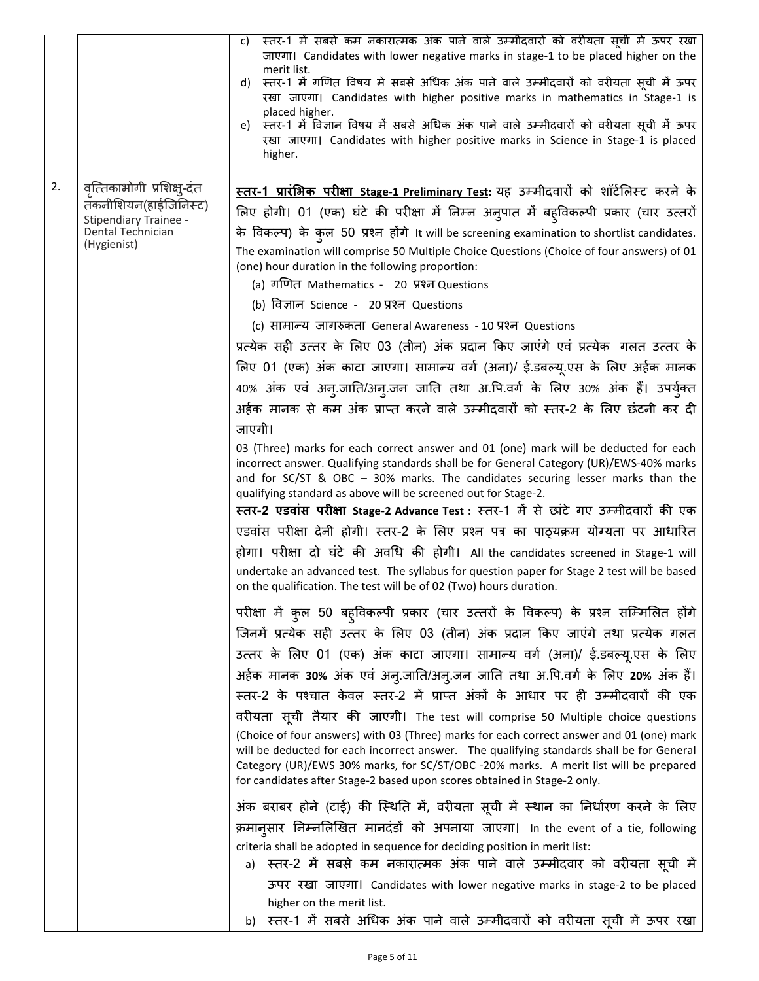|                  |                                                                                   | स्तर-1 में सबसे कम नकारात्मक अंक पाने वाले उम्मीदवारों को वरीयता सूची में ऊपर रखा<br>C)<br>जाएगा। Candidates with lower negative marks in stage-1 to be placed higher on the<br>merit list.<br>d) स्तर-1 में गणित विषय में सबसे अधिक अंक पाने वाले उम्मीदवारों को वरीयता सूची में ऊपर<br>रखा जाएगा। Candidates with higher positive marks in mathematics in Stage-1 is<br>placed higher.<br>स्तर-1 में विज्ञान विषय में सबसे अधिक अंक पाने वाले उम्मीदवारों को वरीयता सूची में ऊपर<br>e)<br>रखा जाएगा। Candidates with higher positive marks in Science in Stage-1 is placed<br>higher.                                                                                                                                                                                                 |
|------------------|-----------------------------------------------------------------------------------|-----------------------------------------------------------------------------------------------------------------------------------------------------------------------------------------------------------------------------------------------------------------------------------------------------------------------------------------------------------------------------------------------------------------------------------------------------------------------------------------------------------------------------------------------------------------------------------------------------------------------------------------------------------------------------------------------------------------------------------------------------------------------------------------|
| $\overline{2}$ . | वृत्तिकाभोगी प्रशिक्ष्-दंत                                                        | <u>स्तर-1 प्रारं<mark>भिक परीक्षा St</mark>age-1 Preliminary Test</u> : यह उम्मीदवारों को शॉर्टलिस्ट करने के                                                                                                                                                                                                                                                                                                                                                                                                                                                                                                                                                                                                                                                                            |
|                  | तकनीशियन(हाईजिनिस्ट)<br>Stipendiary Trainee -<br>Dental Technician<br>(Hygienist) | लिए होगी। 01 (एक) घंटे की परीक्षा में निम्न अनुपात में बह़्विकल्पी प्रकार (चार उत्तरों<br>के विकल्प) के कुल 50 प्रश्न होंगे It will be screening examination to shortlist candidates.<br>The examination will comprise 50 Multiple Choice Questions (Choice of four answers) of 01<br>(one) hour duration in the following proportion:<br>(a) गणित Mathematics - 20 प्रश्न Questions<br>(b) विज्ञान Science - 20 प्रश्न Questions                                                                                                                                                                                                                                                                                                                                                       |
|                  |                                                                                   | (c) सामान्य जागरुकता General Awareness - 10 प्रश्न Questions                                                                                                                                                                                                                                                                                                                                                                                                                                                                                                                                                                                                                                                                                                                            |
|                  |                                                                                   | प्रत्येक सही उत्तर के लिए 03 (तीन) अंक प्रदान किए जाएंगे एवं प्रत्येक गलत उत्तर के                                                                                                                                                                                                                                                                                                                                                                                                                                                                                                                                                                                                                                                                                                      |
|                  |                                                                                   | लिए 01 (एक) अंक काटा जाएगा। सामान्य वर्ग (अना)/ ई.डबल्यू.एस के लिए अर्हक मानक                                                                                                                                                                                                                                                                                                                                                                                                                                                                                                                                                                                                                                                                                                           |
|                  |                                                                                   | 40% अंक एवं अन्.जाति/अन्.जन जाति तथा अ.पि.वर्ग के लिए 30% अंक हैं। उपर्युक्त<br>अर्हक मानक से कम अंक प्राप्त करने वाले उम्मीदवारों को स्तर-2 के लिए छंटनी कर दी                                                                                                                                                                                                                                                                                                                                                                                                                                                                                                                                                                                                                         |
|                  |                                                                                   | जाएगी।                                                                                                                                                                                                                                                                                                                                                                                                                                                                                                                                                                                                                                                                                                                                                                                  |
|                  |                                                                                   | 03 (Three) marks for each correct answer and 01 (one) mark will be deducted for each<br>incorrect answer. Qualifying standards shall be for General Category (UR)/EWS-40% marks<br>and for $SC/ST$ & $OBC - 30%$ marks. The candidates securing lesser marks than the<br>qualifying standard as above will be screened out for Stage-2.<br><b>स्तर-2 एडवांस परीक्षा Stage-2 Advance Test</b> : स्तर-1 में से छांटे गए उम्मीदवारों की एक<br>एडवांस परीक्षा देनी होगी। स्तर-2 के लिए प्रश्न पत्र का पाठ्यक्रम योग्यता पर आधारित<br>होगा। परीक्षा दो घंटे की अवधि की होगी। All the candidates screened in Stage-1 will<br>undertake an advanced test. The syllabus for question paper for Stage 2 test will be based<br>on the qualification. The test will be of 02 (Two) hours duration. |
|                  |                                                                                   | परीक्षा में कुल 50 बह्विकल्पी प्रकार (चार उत्तरों के विकल्प) के प्रश्न सम्मिलित होंगे<br>जिनमें प्रत्येक सही उत्तर के लिए 03 (तीन) अंक प्रदान किए जाएंगे तथा प्रत्येक गलत                                                                                                                                                                                                                                                                                                                                                                                                                                                                                                                                                                                                               |
|                  |                                                                                   | उत्तर के लिए 01 (एक) अंक काटा जाएगा। सामान्य वर्ग (अना)/ ई.डबल्यू.एस के लिए<br>अर्हक मानक 30% अंक एवं अनु.जाति/अनु.जन जाति तथा अ.पि.वर्ग के लिए 20% अंक हैं।<br>स्तर-2 के पश्चात केवल स्तर-2 में प्राप्त अंकों के आधार पर ही उम्मीदवारों की एक<br>वरीयता सूची तैयार की जाएगी। The test will comprise 50 Multiple choice questions<br>(Choice of four answers) with 03 (Three) marks for each correct answer and 01 (one) mark                                                                                                                                                                                                                                                                                                                                                           |
|                  |                                                                                   | will be deducted for each incorrect answer. The qualifying standards shall be for General<br>Category (UR)/EWS 30% marks, for SC/ST/OBC -20% marks. A merit list will be prepared<br>for candidates after Stage-2 based upon scores obtained in Stage-2 only.<br>अंक बराबर होने (टाई) की स्थिति में, वरीयता सूची में स्थान का निर्धारण करने के लिए                                                                                                                                                                                                                                                                                                                                                                                                                                      |
|                  |                                                                                   | क्रमान् <b>सार निम्नलिखित मानदंडों को अपनाया जाएगा</b> । In the event of a tie, following<br>criteria shall be adopted in sequence for deciding position in merit list:<br>a)  स्तर-2 में सबसे कम नकारात्मक अंक पाने वाले उम्मीदवार को वरीयता सूची में<br>ऊपर रखा जाएगा। Candidates with lower negative marks in stage-2 to be placed<br>higher on the merit list.                                                                                                                                                                                                                                                                                                                                                                                                                      |
|                  |                                                                                   | b) स्तर-1 में सबसे अधिक अंक पाने वाले उम्मीदवारों को वरीयता सूची में ऊपर रखा                                                                                                                                                                                                                                                                                                                                                                                                                                                                                                                                                                                                                                                                                                            |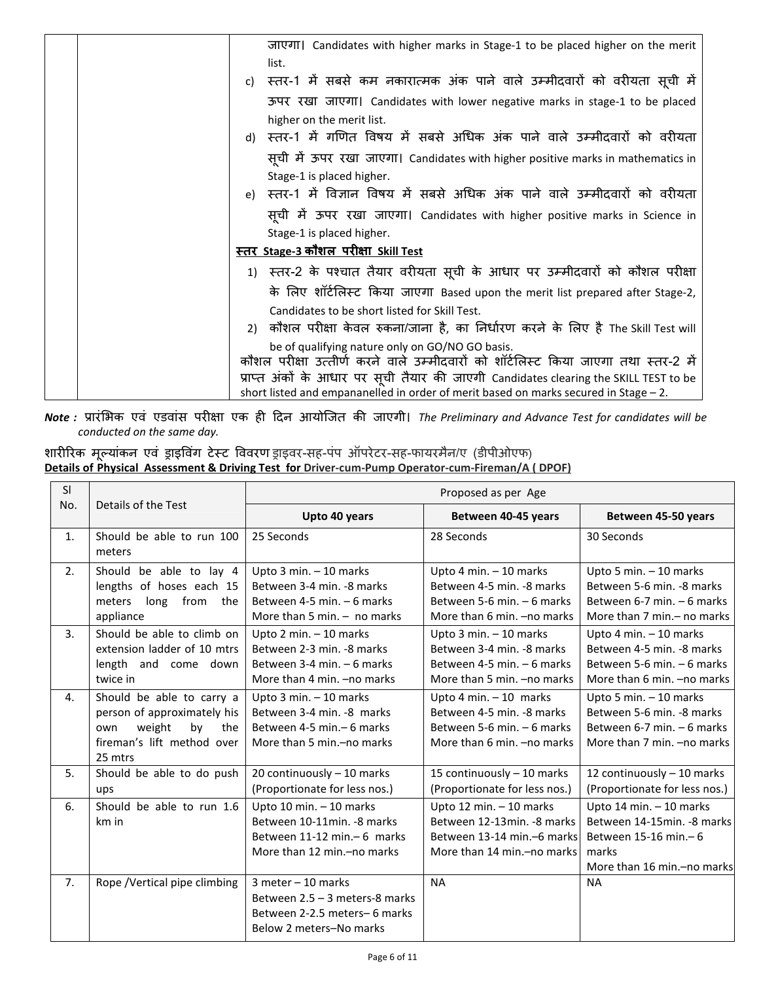|  | जाएगा। Candidates with higher marks in Stage-1 to be placed higher on the merit       |
|--|---------------------------------------------------------------------------------------|
|  | list.                                                                                 |
|  | c) स्तर-1 में सबसे कम नकारात्मक अंक पाने वाले उम्मीदवारों को वरीयता सूची में          |
|  | ऊपर रखा जाएगा। Candidates with lower negative marks in stage-1 to be placed           |
|  | higher on the merit list.                                                             |
|  | d) स्तर-1 में गणित विषय में सबसे अधिक अंक पाने वाले उम्मीदवारों को वरीयता             |
|  | सूची में ऊपर रखा जाएगा। Candidates with higher positive marks in mathematics in       |
|  | Stage-1 is placed higher.                                                             |
|  | e) स्तर-1 में विज्ञान विषय में सबसे अधिक अंक पाने वाले उम्मीदवारों को वरीयता          |
|  | सूची में ऊपर रखा जाएगा। Candidates with higher positive marks in Science in           |
|  | Stage-1 is placed higher.                                                             |
|  | <u>स्तर Stage-3 कौशल परीक्षा Skill Test</u>                                           |
|  | 1) स्तर-2 के पश्चात तैयार वरीयता सूची के आधार पर उम्मीदवारों को कौशल परीक्षा          |
|  | के लिए शॉर्टलिस्ट किया जाएगा Based upon the merit list prepared after Stage-2,        |
|  | Candidates to be short listed for Skill Test.                                         |
|  | 2)  कौशल परीक्षा केवल रुकना/जाना है, का निर्धारण करने के लिए है The Skill Test will   |
|  | be of qualifying nature only on GO/NO GO basis.                                       |
|  | कौशल परीक्षा उत्तीर्ण करने वाले उम्मीदवारों को शॉर्टलिस्ट किया जाएगा तथा स्तर-2 में   |
|  | प्राप्त अंकों के आधार पर सूची तैयार की जाएगी Candidates clearing the SKILL TEST to be |
|  | short listed and empananelled in order of merit based on marks secured in Stage - 2.  |

*Note : प्रारंभिक एवं एडवांस परीक्षा एक ही दिन आयोजित की जाएगी। The Preliminary and Advance Test for candidates will be conducted on the same day.* 

## शारीरिक मूल्यांकन एवं ड्राइविंग टेस्ट विवरण ड्राइवर-सह-पंप ऑपरेटर-सह-फायरमैन/ए (डीपीओएफ) **Details of Physical Assessment & Driving Test for Driver-cum-Pump Operator-cum-Fireman/A ( DPOF)**

| SI  |                                                                                                                                 | Proposed as per Age                                                                                                     |                                                                                                                      |                                                                                                                          |  |  |
|-----|---------------------------------------------------------------------------------------------------------------------------------|-------------------------------------------------------------------------------------------------------------------------|----------------------------------------------------------------------------------------------------------------------|--------------------------------------------------------------------------------------------------------------------------|--|--|
| No. | Details of the Test                                                                                                             | Upto 40 years                                                                                                           | Between 40-45 years                                                                                                  | Between 45-50 years                                                                                                      |  |  |
| 1.  | Should be able to run 100<br>meters                                                                                             | 25 Seconds                                                                                                              | 28 Seconds                                                                                                           | 30 Seconds                                                                                                               |  |  |
| 2.  | Should be able to lay 4<br>lengths of hoses each 15<br>from<br>meters<br>long<br>the<br>appliance                               | Upto 3 min. - 10 marks<br>Between 3-4 min. -8 marks<br>Between 4-5 min. - 6 marks<br>More than 5 min. $-$ no marks      | Upto 4 min. - 10 marks<br>Between 4-5 min. -8 marks<br>Between 5-6 min. - 6 marks<br>More than 6 min. - no marks     | Upto 5 min. - 10 marks<br>Between 5-6 min. -8 marks<br>Between 6-7 min. - 6 marks<br>More than 7 min. - no marks         |  |  |
| 3.  | Should be able to climb on<br>extension ladder of 10 mtrs<br>length and come down<br>twice in                                   | Upto $2$ min. $-10$ marks<br>Between 2-3 min. -8 marks<br>Between 3-4 min. - 6 marks<br>More than 4 min. - no marks     | Upto 3 min. - 10 marks<br>Between 3-4 min. -8 marks<br>Between 4-5 min. - 6 marks<br>More than 5 min. - no marks     | Upto 4 min. $-10$ marks<br>Between 4-5 min. -8 marks<br>Between 5-6 min. - 6 marks<br>More than 6 min. - no marks        |  |  |
| 4.  | Should be able to carry a<br>person of approximately his<br>weight<br>by<br>the<br>own<br>fireman's lift method over<br>25 mtrs | Upto 3 min. - 10 marks<br>Between 3-4 min. -8 marks<br>Between 4-5 min. - 6 marks<br>More than 5 min. - no marks        | Upto 4 min. $-10$ marks<br>Between 4-5 min. -8 marks<br>Between 5-6 min. - 6 marks<br>More than 6 min. - no marks    | Upto 5 min. - 10 marks<br>Between 5-6 min. -8 marks<br>Between 6-7 min. - 6 marks<br>More than 7 min. - no marks         |  |  |
| 5.  | Should be able to do push<br>ups                                                                                                | 20 continuously - 10 marks<br>(Proportionate for less nos.)                                                             | 15 continuously - 10 marks<br>(Proportionate for less nos.)                                                          | 12 continuously - 10 marks<br>(Proportionate for less nos.)                                                              |  |  |
| 6.  | Should be able to run 1.6<br>km in                                                                                              | Upto 10 min. $-$ 10 marks<br>Between 10-11min. -8 marks<br>Between 11-12 min .- 6 marks<br>More than 12 min. - no marks | Upto 12 min. - 10 marks<br>Between 12-13min. - 8 marks<br>Between 13-14 min.-6 marks<br>More than 14 min. - no marks | Upto $14$ min. $-10$ marks<br>Between 14-15min. - 8 marks<br>Between 15-16 min.-6<br>marks<br>More than 16 min.-no marks |  |  |
| 7.  | Rope /Vertical pipe climbing                                                                                                    | $3$ meter $-10$ marks<br>Between $2.5 - 3$ meters-8 marks<br>Between 2-2.5 meters-6 marks<br>Below 2 meters-No marks    | <b>NA</b>                                                                                                            | <b>NA</b>                                                                                                                |  |  |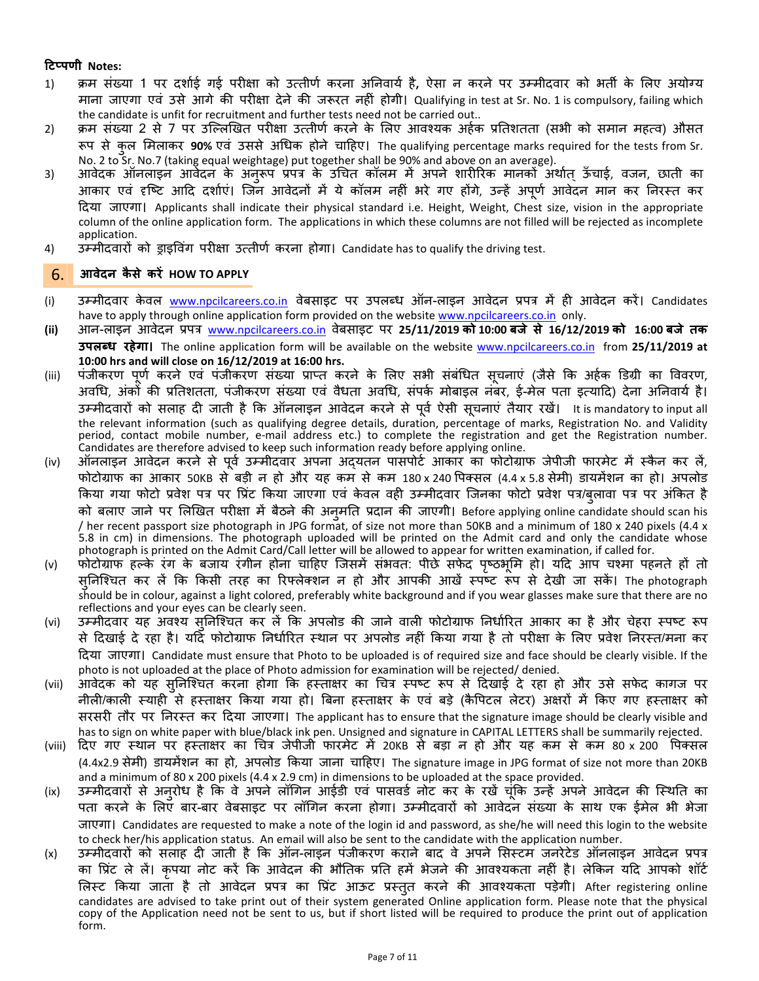#### **<ट= पणी Notes:**

- 1) क्रम संख्या 1 पर दर्शाई गई परीक्षा को उत्तीर्ण करना अनिवार्य है, ऐसा न करने पर उम्मीदवार को भर्ती के लिए अयोग्य माना जाएगा एवं उसे आगे की परीक्षा देने की जरूरत नहीं होगी। Qualifying in test at Sr. No. 1 is compulsory, failing which the candidate is unfit for recruitment and further tests need not be carried out..
- 2) क्रम संख्या 2 से 7 पर उल्लिखित परीक्षा उत्तीर्ण करने के लिए आवश्यक अर्हक प्रतिशतता (सभी को समान महत्व) औसत रूप से कुल मिलाकर 90% एवं उससे अधिक होने चाहिए। The qualifying percentage marks required for the tests from Sr. No. 2 to Sr. No.7 (taking equal weightage) put together shall be 90% and above on an average).
- 3) आवेदक ऑनलाइन आवेदन के अनुरूप प्रपत्र के उचित कॉलम में अपने शारीरिक मानकों अर्थात् ऊँचाई, वजन, छाती का आकार एवं दृष्टि आदि दर्शाएं। जिन आवेदनों में ये कॉलम नहीं भरे गए होंगे, उन्हें अपूर्ण आवेदन मान कर निरस्त कर aदया जाएगा। Applicants shall indicate their physical standard i.e. Height, Weight, Chest size, vision in the appropriate column of the online application form. The applications in which these columns are not filled will be rejected as incomplete application.
- 4) उC मीदवार/ को Lाइव ंग परb8ा उ@ तीण करना होगा। Candidate has to qualify the driving test.

#### 6. **आवेदन कै से कर HOW TO APPLY**

- (i) उम्मीदवार केवल <u>www.npcilcareers.co.in</u> वेबसाइट पर उपलब्ध ऑन-लाइन आवेदन प्रपत्र में ही आवेदन करें। Candidates have to apply through online application form provided on the website www.npcilcareers.co.in only.
- **(ii)** आन-लाइन आवेदन &प: www.npcilcareers.co.in वेबसाइट पर **25/11/2019 को 10:00 बजे से 16/12/2019 को 16:00 बजे तक उपलF ध रहेगा।** The online application form will be available on the website www.npcilcareers.co.in from **25/11/2019 at 10:00 hrs and will close on 16/12/2019 at 16:00 hrs.**
- (iii) पंजीकरण पर्ण करने एवं पंजीकरण संख्या प्राप्त करने के लिए सभी संबंधित सचनाएं (जैसे कि अर्हक डिग्री का विवरण, अवधि, अंकों की प्रतिशतता, पंजीकरण संख्या एवं वैधता अवधि, संपर्क मोबाइल नंबर, ई-मेल पता इत्यादि) देना अनिवार्य है। उम्मीदवारों को सलाह दी जाती है कि ऑनलाइन आवेदन करने से पूर्व ऐसी सूचनाएं तैयार रखें। It is mandatory to input all the relevant information (such as qualifying degree details, duration, percentage of marks, Registration No. and Validity period, contact mobile number, e-mail address etc.) to complete the registration and get the Registration number. Candidates are therefore advised to keep such information ready before applying online.
- (iv) ऑनलाइन आवेदन करने से पर्व उम्मीदवार अपना अदयतन पासपोर्ट आकार का फोटोग्राफ जेपीजी फारमेट में स्कैन कर ले, फोटोग्राफ का आकार 50KB से बड़ी न हो और यह कम से कम 180 x 240 पिक्सल (4.4 x 5.8 सेमी) डायमेंशन का हो। अपलोड किया गया फोटो प्रवेश पत्र पर प्रिंट किया जाएगा एवं केवल वही उम्मीदवार जिनका फोटो प्रवेश पत्र/बलावा पत्र पर अंकित है को बलाए जाने पर लिखित परीक्षा में बैठने की अन्मति प्रदान की जाएगी। Before applying online candidate should scan his / her recent passport size photograph in JPG format, of size not more than 50KB and a minimum of 180 x 240 pixels (4.4 x 5.8 in cm) in dimensions. The photograph uploaded will be printed on the Admit card and only the candidate whose photograph is printed on the Admit Card/Call letter will be allowed to appear for written examination, if called for.
- (v) फोटोग्राफ हल्के रंग के बजाय रंगीन होना चाहिए जिसमें संभवत: पीछे सफेद पृष्ठभूमि हो। यदि आप चश्मा पहनते हों तो सनिश्चित कर लें कि किसी तरह का रिफ्लेक्शन न हो और आपकी आखें स्पष्ट रूप से देखी जा सकें। The photograph should be in colour, against a light colored, preferably white background and if you wear glasses make sure that there are no reflections and your eyes can be clearly seen.
- (vi) उम्मीदवार यह अवश्य स्**निश्चित कर लें कि अपलोड की जाने वाली फो**टोग्राफ निर्धारित आकार का है और चेहरा स्पष्ट रूप से दिखाई दे रहा है। यदि फोटोग्राफ निर्धारित स्थान पर अपलोड नहीं किया गया है तो परीक्षा के लिए प्रवेश निरस्त/मना कर aदया जाएगा। Candidate must ensure that Photo to be uploaded is of required size and face should be clearly visible. If the photo is not uploaded at the place of Photo admission for examination will be rejected/ denied.
- (vii) आवेदक को यह सुनिश्चित करना होगा कि हस्ताक्षर का चित्र स्पष्ट रूप से दिखाई दे रहा हो और उसे सफेद कागज पर नीली/काली स्याही से हस्ताक्षर किया गया हो। बिना हस्ताक्षर के एवं बड़े (कैपिटल लेटर) अक्षरों में किए गए हस्ताक्षर को सरसरी तौर पर निरस्त कर दिया जाएगा। The applicant has to ensure that the signature image should be clearly visible and has to sign on white paper with blue/black ink pen. Unsigned and signature in CAPITAL LETTERS shall be summarily rejected.
- (viii) दिए गए स्थान पर हस्ताक्षर का चित्र जेपीजी फारमेट में 20KB से बड़ा न हो और यह कम से कम 80 x 200 पिक्सल (4.4x2.9 सेमी) डायमेंशन का हो, अपलोड किया जाना चाहिए। The signature image in JPG format of size not more than 20KB and a minimum of 80 x 200 pixels (4.4 x 2.9 cm) in dimensions to be uploaded at the space provided.
- (ix) उम्मीदवारों से अनुरोध है कि वे अपने लॉगिन आईडी एवं पासवर्ड नोट कर के रखें चुंकि उन्हें अपने आवेदन की स्थिति का पता करने के लिए बार-बार वेबसाइट पर लॉगिन करना होगा। उम्मीदवारों को आवेदन संख्या के साथ एक ईमेल भी भेजा जाएगा। Candidates are requested to make a note of the login id and password, as she/he will need this login to the website to check her/his application status. An email will also be sent to the candidate with the application number.
- (x) उम्मीदवारों को सलाह दी जाती है कि ऑन-लाइन पंजीकरण कराने बाद वे अपने सिस्टम जनरेटेड ऑनलाइन आवेदन प्रपत्र का प्रिंट ले लें। कृपया नोट करें कि आवेदन की भौतिक प्रति हमें भेजने की आवश्यकता नहीं है। लेकिन यदि आपको शॉर्ट लिस्ट किया जाता है तो आवेदन प्रपत्र का प्रिंट आऊट प्रस्तुत करने की आवश्यकता पड़ेगी। After registering online candidates are advised to take print out of their system generated Online application form. Please note that the physical copy of the Application need not be sent to us, but if short listed will be required to produce the print out of application form.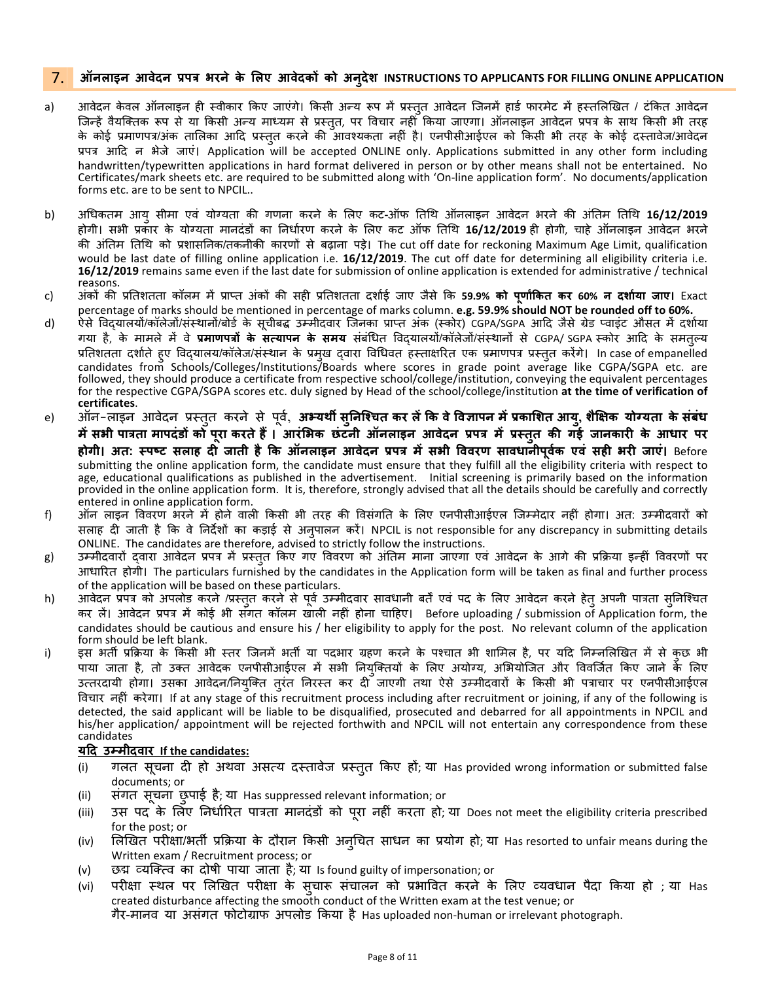### 7. ऑनलाइन आवेदन प्रपत्र भरने के लिए आवेदकों को अन्**देश INSTRUCTIONS TO APPLICANTS FOR FILLING** ONLINE APPLICATION

- a) आवेदन केवल ऑनलाइन ही स्वीकार किए जाएंगे। किसी अन्य रूप में प्रस्तुत आवेदन जिनमें हार्ड फारमेट में हस्तलिखित / टंकित आवेदन जिन्हें वैयक्तिक रूप से या किसी अन्य माध्यम से प्रस्तुत, पर विचार नहीँ किया जाएगा। ऑनलाइन आवेदन प्रपत्र के साथ किसी भी तरह के कोई प्रमाणपत्र/अंक तालिका आदि प्रस्तुत करने की आवश्यकता नहीं है। एनपीसीआईएल को किसी भी तरह के कोई दस्तावेज/आवेदन &प: आaद न भेजे जाएं। Application will be accepted ONLINE only. Applications submitted in any other form including handwritten/typewritten applications in hard format delivered in person or by other means shall not be entertained. No Certificates/mark sheets etc. are required to be submitted along with 'On-line application form'. No documents/application forms etc. are to be sent to NPCIL..
- b) अधिकतम आय् सीमा एवं योग्यता की गणना करने के लिए कट-ऑफ तिथि ऑनलाइन आवेदन भरने की अंतिम तिथि **16/12/2019** होगी। सभी प्रकार के योग्यता मानदंडों का निर्धारण करने के लिए कट ऑफ तिथि **16/12/2019** ही होगी, चाहे ऑनलाइन आवेदन भरने की अंतिम तिथि को प्रशासनिक/तकनीकी कारणों से बढ़ाना पड़े। The cut off date for reckoning Maximum Age Limit, qualification would be last date of filling online application i.e. **16/12/2019**. The cut off date for determining all eligibility criteria i.e. **16/12/2019** remains same even if the last date for submission of online application is extended for administrative / technical reasons.
- c) अंक/ क &(तशतता कॉलम म+ &ाK त अंक/ क सहb &(तशतता दशाई जाए जैसे क **59.9% को पणाK@कत ू कर 60% न दशाLया जाए।** Exact percentage of marks should be mentioned in percentage of marks column. **e.g. 59.9% should NOT be rounded off to 60%.**
- d) ऐसे विदयालयों/कॉलेजों/संस्थानों/बोर्ड के सृचीबद्ध उम्मीदवार जिनका प्राप्त अंक (स्कोर) CGPA/SGPA आदि जैसे ग्रेड प्वाइंट औसत में दर्शाया गया है, के मामले में वे **प्रमाणपत्रों के सत्यापन के समय** संबंधित विदयालयों/कॉलेजों/संस्थानों से CGPA/ SGPA स्कोर आदि के समतल्य प्रतिशतता दर्शाते हुए विद्यालय/कॉलेज/संस्थान के प्रमुख दवारा विधिवत हस्ताक्षरित एक प्रमाणपत्र प्रस्तुत करेंगे। In case of empanelled candidates from Schools/Colleges/Institutions/Boards where scores in grade point average like CGPA/SGPA etc. are followed, they should produce a certificate from respective school/college/institution, conveying the equivalent percentages for the respective CGPA/SGPA scores etc. duly signed by Head of the school/college/institution **at the time of verification of certificates**.
- e) ऑन-लाइन आवेदन &0ततु करने से पव ू , **अMयथN सनिOचत ु कर ल@क वेPवQापन मका9शत आयु, शै"#क यो%यता के संबंध** में सभी पात्रता मापदंडों को पुरा करते हैं। आरंभिक छंटनी ऑनलाइन आवेदन प्रपत्र में प्रस्तुत की गई जानकारी के आधार पर **होगी। अत: स्पष्ट सलाह दी जाती है कि ऑनलाइन आवेदन प्रपत्र में सभी विवरण सावधानीपर्वक एवं सही भरी जाएं।** Before submitting the online application form, the candidate must ensure that they fulfill all the eligibility criteria with respect to age, educational qualifications as published in the advertisement. Initial screening is primarily based on the information provided in the online application form. It is, therefore, strongly advised that all the details should be carefully and correctly entered in online application form.
- f) ऑन लाइन विवरण भरने में होने वाली किसी भी तरह की विसंगति के लिए एनपीसीआईएल जिम्मेदार नहीं होगा। अत: उम्मीदवारों को सलाह दी जाती है कि वे निर्देशों का कड़ाई से अनुपालन करें। NPCIL is not responsible for any discrepancy in submitting details ONLINE. The candidates are therefore, advised to strictly follow the instructions.
- g) उम्मीदवारों द्वारा आवेदन प्रपत्र में प्रस्तुत किए गए विवरण को अंतिम माना जाएगा एवं आवेदन के आगे की प्रक्रिया इन्हीं विवरणों पर आधारित होगी। The particulars furnished by the candidates in the Application form will be taken as final and further process of the application will be based on these particulars.
- h) आवेदन प्रपत्र को अपलोड करने /प्रस्तुत करने से पूर्व उम्मीदवार सावधानी बर्ते एवं पद के लिए आवेदन करने हेत् अपनी पात्रता स्निश्चित कर लें। आवेदन प्रपत्र में कोई भी संगत कॉलम खाली नहीं होना चाहिए। Before uploading / submission of Application form, the candidates should be cautious and ensure his / her eligibility to apply for the post. No relevant column of the application form should be left blank.
- i) इस भर्ती प्रक्रिया के किसी भी स्तर जिनमें भर्ती या पदभार ग्रहण करने के पश्चात भी शामिल है, पर यदि निम्नलिखित में से कुछ भी पाया जाता है, तो उक्त आवेदक एनपीसीआईएल में सभी नियुक्तियों के लिए अयोग्य, अभियोजित और विवर्जित किए जाने के लिए उत्तरदायी होगा। उसका आवेदन/नियुक्ति तुरंत निरस्त कर दी जाएगी तथा ऐसे उम्मीदवारों के किसी भी पत्राचार पर एनपीसीआईएल वचार नहbं करेगा। If at any stage of this recruitment process including after recruitment or joining, if any of the following is detected, the said applicant will be liable to be disqualified, prosecuted and debarred for all appointments in NPCIL and his/her application/ appointment will be rejected forthwith and NPCIL will not entertain any correspondence from these candidates

#### <u>यदि उम्मीदवार If the candidates:</u>

- (i) गलत सूचना दी हो अथवा असत्य दस्तावेज प्रस्तुत किए हों; या Has provided wrong information or submitted false documents; or
- (ii) संगत सूचना छुपाई है; या Has suppressed relevant information; or
- (iii) उस पद के लिए निर्धारित पात्रता मानदंडों को पूरा नहीं करता हो; या Does not meet the eligibility criteria prescribed for the post; or
- (iv) लिखित परीक्षा/भती प्रक्रिया के दौरान किसी अनृचित साधन का प्रयोग हो; या Has resorted to unfair means during the Written exam / Recruitment process; or
- (v) छद्म र्व्यक्त्वि का दोषी पाया जाता है; या Is found guilty of impersonation; or
- (vi) परीक्षा स्थल पर लिखित परीक्षा के सृचारू संचालन को प्रभावित करने के लिए व्यवधान पैदा किया हो ; या Has created disturbance affecting the smooth conduct of the Written exam at the test venue; or

गैर-मानव या असगत फोटोग्राफ अपलोड किया है Has uploaded non-human or irrelevant photograph.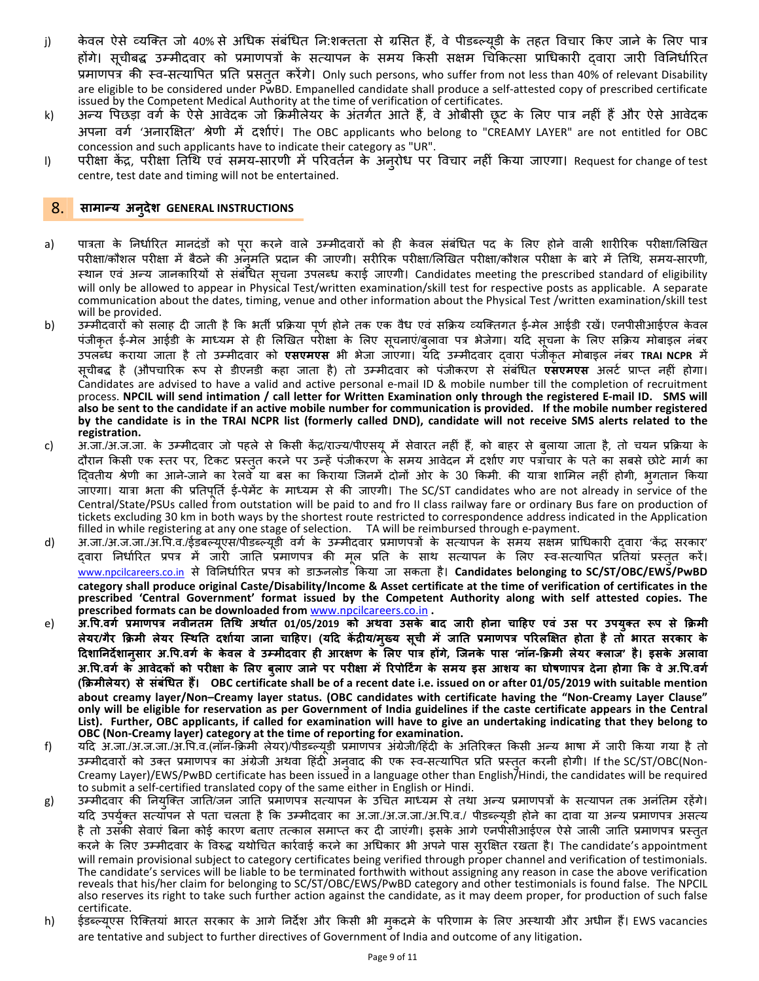- j) केवल ऐसे व्यक्ति जो 40% से अधिक संबंधित नि:शक्तता से ग्रसित हैं, वे पीडब्ल्यूडी के तहत विचार किए जाने के लिए पात्र होंगे। सूचीबद्ध उम्मीदवार को प्रमाणपत्रों के सत्यापन के समय किसी सक्षम चिकित्सा प्राधिकारी दवारा जारी विनिर्धारित प्रमाणपत्र की स्व-सत्यापित प्रति प्रसत्**त करेंगे। Only such persons, who suffer from** not less than 40% of relevant Disability are eligible to be considered under PwBD. Empanelled candidate shall produce a self-attested copy of prescribed certificate issued by the Competent Medical Authority at the time of verification of certificates.
- k) अन्य पिछड़ा वर्ग के ऐसे आवेदक जो क्रिमीलेयर के अंतर्गत आते हैं, वे ओबीसी छूट के लिए पात्र नहीं हैं और ऐसे आवेदक अपना वर्ग 'अनारक्षित' श्रेणी में दर्शाएं। The OBC applicants who belong to "CREAMY LAYER" are not entitled for OBC concession and such applicants have to indicate their category as "UR".
- l) परीक्षा केद्र, परीक्षा तिथि एव समय-सारणी मे परिवतेन के अन्**रोध पर विचार नहीं किया जाएगा। Request** for change of test centre, test date and timing will not be entertained.

#### 8. **सामाW य अनदेशु GENERAL INSTRUCTIONS**

- a) पात्रता के निर्धारित मानदंडों को परा करने वाले उम्मीदवारों को ही केवल संबंधित पद के लिए होने वाली शारीरिक परीक्षा/लिखित परीक्षा/कौशल परीक्षा में बैठने की अनुमति प्रदान की जाएगी। सरीरिक परीक्षा/लिखित परीक्षा/कौशल परीक्षा के बारे में तिथि, समय-सारणी, स्थान एवं अन्य जानकारियों से संबंधित सूचना उपलब्ध कराई जाएगी। Candidates meeting the prescribed standard of eligibility will only be allowed to appear in Physical Test/written examination/skill test for respective posts as applicable. A separate communication about the dates, timing, venue and other information about the Physical Test /written examination/skill test will be provided.
- b) उम्मीदवारों को सलाह दी जाती है कि भर्ती प्रक्रिया पूर्ण होने तक एक वैध एवं सक्रिय व्यक्तिगत ई-मेल आईडी रखें। एनपीसीआईएल केवल पंजीकृत ई-मेल आईडी के माध्यम से ही लिखित परीक्षा के लिए सूचनाएं/ब्लावा पत्र भेजेगा। यदि सूचना के लिए सक्रिय मोबाइल नंबर उपलब्ध कराया जाता है तो उम्मीदवार को **एसएमएस** भी भेजा जाएगा। यदि उम्मीदवार दवारा पंजीकत मोबाइल नंबर TRAI NCPR में सृचीबद्ध है (औपचारिक रूप से डीएनडी कहा जाता है) तो उम्मीदवार को पंजीकरण से संबंधित **एसएमएस** अलर्ट प्राप्त नहीं होगा। Candidates are advised to have a valid and active personal e-mail ID & mobile number till the completion of recruitment process. **NPCIL will send intimation / call letter for Written Examination only through the registered E-mail ID. SMS will also be sent to the candidate if an active mobile number for communication is provided. If the mobile number registered by the candidate is in the TRAI NCPR list (formerly called DND), candidate will not receive SMS alerts related to the registration.**
- c) अ.जा./अ.ज.जा. के उम्मीदवार जो पहले से किसी केंद्र/राज्य/पीएसयू में सेवारत नहीं हैं, को बाहर से बुलाया जाता है, तो चयन प्रक्रिया के दौरान किसी एक स्तर पर, टिकट प्रस्तुत करने पर उन्हें पंजीकरण के समय आवेदन में दर्शाए गए पत्राँचार के पते का सबसे छोटे मार्ग का दिवतीय श्रेणी का आने-जाने का रेलवे या बस का किराया जिनमें दोनों ओर के 30 किमी. की यात्रा शामिल नहीं होगी, भृगतान किया जाएगा। यात्रा भता की प्रतिपूर्ति ई-पेमेंट के माध्यम से की जाएगी। The SC/ST candidates who are not already in service of the Central/State/PSUs called from outstation will be paid to and fro II class railway fare or ordinary Bus fare on production of tickets excluding 30 km in both ways by the shortest route restricted to correspondence address indicated in the Application filled in while registering at any one stage of selection. TA will be reimbursed through e-payment.
- d) अ.जा./अ.ज.जा./अ.पि.व./ईडबल्यूएस/पीडब्ल्यूडी वगे के उम्मीदवार प्रमाणपत्रों के सत्यापन के समय सक्षम प्राधिकारी द्वारा 'केंद्र सरकार' द्वारा निर्धारित प्रपत्र में जारी जाति प्रमाणपत्र की मूल प्रति के साथ सत्यापन के लिए स्व-सत्यापित प्रतियां प्रस्तुत करें। www.npcilcareers.co.in से विनिर्धारित प्रपत्र को डाऊनलोड किया जा सकता है। Candidates belonging to SC/ST/OBC/EWS/PwBD **category shall produce original Caste/Disability/Income & Asset certificate at the time of verification of certificates in the prescribed 'Central Government' format issued by the Competent Authority along with self attested copies. The prescribed formats can be downloaded from** www.npcilcareers.co.in **.**
- e) अ.पि.वर्ग प्रमाणपत्र नवीनतम तिथि अर्थात 01/05/2019 को अथवा उसके बाद जारी होना चाहिए एवं उस पर उपयुक्त रूप से क्रिमी लेयर/गैर क्रिमी लेयर स्थिति दर्शाया जाना चाहिए। (यदि केंद्रीय/मुख्य सूची में जाति प्रमाणपत्र परिलक्षित होता है तो भारत सरकार के **<दशानदशानसार ] ु अ.Pप.वगL के के वल वे उV मीदवार ह: आर#ण के 9लए पाI हJगे, िजनके पास 'नॉन-@&मी लेयर Y लाज' है। इसके अलावा**  अ.पि.वर्ग के आवेदकों को परीक्षा के लिए बुलाए जाने पर परीक्षा में रिपोर्टिंग के समय इस आशय का घोषणापत्र देना होगा कि वे अ.पि.वर्ग (क्रिमीलेयर) से संबंधित हैं। OBC certificate shall be of a recent date i.e. issued on or after 01/05/2019 with suitable mention **i about creamy layer/Non–Creamy layer status. (OBC candidates with certificate having the "Non-Creamy Layer Clause" only will be eligible for reservation as per Government of India guidelines if the caste certificate appears in the Central List). Further, OBC applicants, if called for examination will have to give an undertaking indicating that they belong to OBC (Non-Creamy layer) category at the time of reporting for examination.**
- f) यदि अ.जा./अ.ज.जा./अ.पि.व.(नॉन-क्रिमी लेयर)/पीडब्ल्यूडी प्रमाणपत्र अंग्रेजी/हिंदी के अतिरिक्त किसी अन्य भाषा में जारी किया गया है तो उम्मीदवारों को उक्त प्रमाणपत्र का अंग्रेजी अथवा हिंदी अनवाद की एक स्व-सत्यापित प्रति प्रस्तुत करनी होगी। If the SC/ST/OBC(Non-Creamy Layer)/EWS/PwBD certificate has been issued in a language other than English/Hindi, the candidates will be required to submit a self-certified translated copy of the same either in English or Hindi.
- g) उम्मीदवार की नियुक्ति जाति/जन जाति प्रमाणपत्र सत्यापन के उचित माध्यम से तथा अन्य प्रमाणपत्रों के सत्यापन तक अनंतिम रहेंगे। यदि उपर्युक्त सत्यापन से पता चलता है कि उम्मीदवार का अ.जा./अ.ज.जा./अ.पि.व./ पीडब्ल्युडी होने का दावा या अन्य प्रमाणपत्र असत्य है तो उसकी सेवाएं बिना कोई कारण बताए तत्काल समाप्त कर दी जाएंगी। इसके आगे एनपीसीआईएल ऐसे जाली जाति प्रमाणपत्र प्रस्तुत करने के लिए उम्मीदवार के विरुद्ध यथोचित कार्रवाई करने का अधिकार भी अपने पास सुरक्षित रखता है। The candidate's appointment will remain provisional subject to category certificates being verified through proper channel and verification of testimonials. The candidate's services will be liable to be terminated forthwith without assigning any reason in case the above verification reveals that his/her claim for belonging to SC/ST/OBC/EWS/PwBD category and other testimonials is found false. The NPCIL also reserves its right to take such further action against the candidate, as it may deem proper, for production of such false certificate.
- h) ईडब्ल्यूएस रिक्तियां भारत सरकार के आगे निर्देश और किसी भी मुकदमे के परिणाम के लिए अस्थायी और अधीन हैं। EWS vacancies are tentative and subject to further directives of Government of India and outcome of any litigation.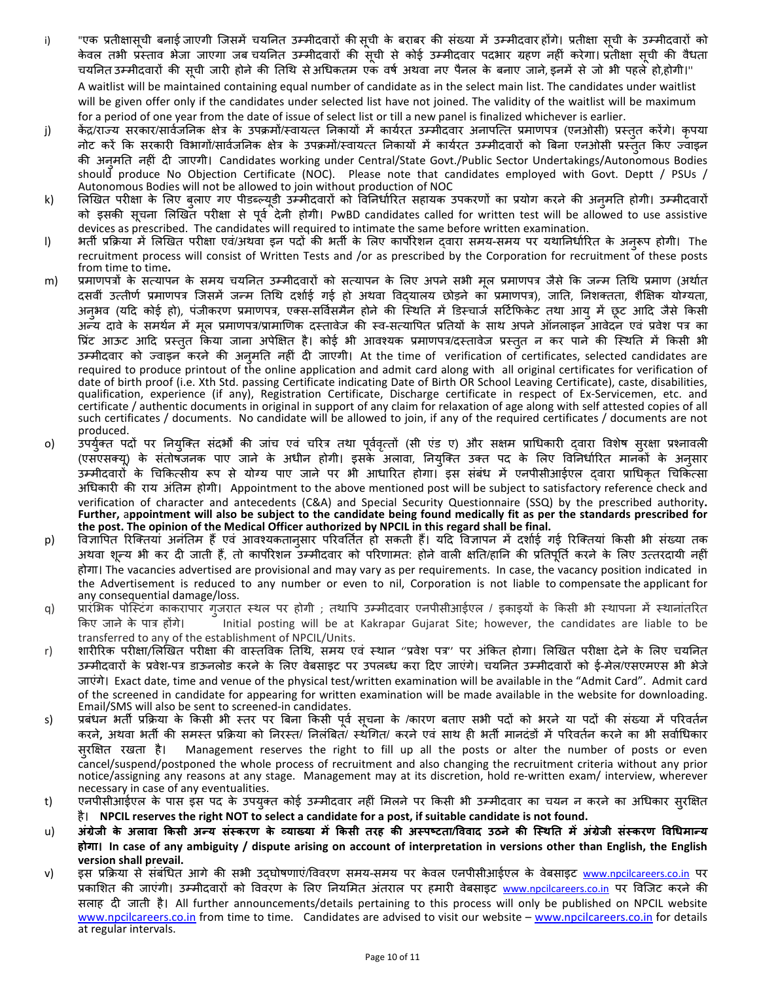- i) "एक प्रतीक्षासृची बनाई जाएगी जिसमें चयनित उम्मीदवारों की सूची के बराबर की संख्या में उम्मीदवार होंगे। प्रतीक्षा सूची के उम्मीदवारों को केवल तभी प्रस्ताव भेजा जाएगा जब चयनित उम्मीदवारों की सूची से कोई उम्मीदवार पदभार ग्रहण नहीं करेगा। प्रतीक्षा सूची की वैधता चयनित उम्मीदवारों की सची जारी होने की तिथि से अधिकतम एक वर्ष अथवा नए पैनल के बनाए जाने,इनमें से जो भी पहले हो,होगी।'' A waitlist will be maintained containing equal number of candidate as in the select main list. The candidates under waitlist will be given offer only if the candidates under selected list have not joined. The validity of the waitlist will be maximum for a period of one year from the date of issue of select list or till a new panel is finalized whichever is earlier.
- j) केंद्र/राज्य सरकार/सार्वजनिक क्षेत्र के उपक्रमों/स्वायत्त निकायों में कार्यरत उम्मीदवार अनापत्ति प्रमाणपत्र (एनओसी) प्रस्तुत करेंगे। कृपया नोट करें कि सरकारी विभागों/सार्वजनिक क्षेत्र के उपक्रमों/स्वायत्त निकायों में कार्यरत उम्मीदवारों को बिना एनओसी प्रस्तत किए ज्वाइन की अनुमति नहीं दी जाएगी। Candidates working under Central/State Govt./Public Sector Undertakings/Autonomous Bodies should produce No Objection Certificate (NOC). Please note that candidates employed with Govt. Deptt / PSUs / Autonomous Bodies will not be allowed to join without production of NOC
- k) लिखित परीक्षा के लिए बुलाए गए पीडब्ल्यूडी उम्मीदवारों को विनिर्धारित सहायक उपकरणों का प्रयोग करने की अनुमति होगी। उम्मीदवारों को इसकी सुचना लिखित परीक्षा से पूर्व देनी होगी। PwBD candidates called for written test will be allowed to use assistive devices as prescribed. The candidates will required to intimate the same before written examination.
- l) भर्ती प्रक्रिया में लिखित परीक्षा एवं/अथवा इन पदों की भर्ती के लिए कार्पोरेशन दवारा समय-समय पर यथानिर्धारित के अनरूप होगी। The recruitment process will consist of Written Tests and /or as prescribed by the Corporation for recruitment of these posts from time to time**.**
- m) प्रमाणपत्रों के सत्यापन के समय चयनित उम्मीदवारों को सत्यापन के लिए अपने सभी मल प्रमाणपत्र जैसे कि जन्म तिथि प्रमाण (अर्थात दसवीं उत्तीर्ण प्रमाणपत्र जिसमें जन्म तिथि दर्शाई गई हो अथवा विदयालय छोड़ने का प्रमाणपत्र), जाति, निशक्तता, शैक्षिक योग्यता, अनभव (यदि कोई हो), पंजीकरण प्रमाणपत्र, एक्स-सर्विसमैन होने की स्थिति में डिस्चार्ज सर्टिफिकेट तथा आय में छट आदि जैसे किसी अन्य दावे के समर्थन में मूल प्रमाणपत्र/प्रामाणिक दस्तावेज की स्व-सत्यापित प्रतियों के साथ अपने ऑनलाइन आवेदन एवं प्रवेश पत्र का प्रिंट आऊट आदि प्रस्तुत किया जाना अपेक्षित है। कोई भी आवश्यक प्रमाणपत्र/दस्तावेज प्रस्तुत न कर पाने की स्थिति में किसी भी उम्मीदवार को ज्वाइन करने की अनमति नहीं दी जाएगी। At the time of verification of certificates, selected candidates are required to produce printout of the online application and admit card along with all original certificates for verification of date of birth proof (i.e. Xth Std. passing Certificate indicating Date of Birth OR School Leaving Certificate), caste, disabilities, qualification, experience (if any), Registration Certificate, Discharge certificate in respect of Ex-Servicemen, etc. and certificate / authentic documents in original in support of any claim for relaxation of age along with self attested copies of all such certificates / documents. No candidate will be allowed to join, if any of the required certificates / documents are not produced.
- o) उपर्युक्त पदों पर नियुक्ति संदर्भों की जांच एवं चरित्र तथा पूर्ववृत्तों (सी एंड ए) और सक्षम प्रधिकारी दवारा विशेष सुरक्षा प्रश्नावली (एसएसक्य्) के संतोषजनक पाए जाने के अधीन होगी। इसके अलावा, नियुक्ति उक्त पद के लिए विनिर्धारित मानकों के अनुसार उम्मीदवारों के चिकित्सीय रूप से योग्य पाए जाने पर भी आधारित होगा। इस संबंध में एनपीसीआईएल दवारा प्राधिकत चिकित्सा अधिकारी की राय अंतिम होगी। Appointment to the above mentioned post will be subject to satisfactory reference check and verification of character and antecedents (C&A) and Special Security Questionnaire (SSQ) by the prescribed authority**. Further,** a**ppointment will also be subject to the candidate being found medically fit as per the standards prescribed for the post. The opinion of the Medical Officer authorized by NPCIL in this regard shall be final.**
- p) विज्ञापित रिक्तियां अनंतिम हैं एवं आवश्यकतानसार परिवर्तित हो सकती हैं। यदि विज्ञापन में दर्शाई गई रिक्तियां किसी भी संख्या तक अथवा शन्य भी कर दी जाती हैं. तो कार्पोरेशन उम्मीदवार को परिणामत: होने वाली क्षति/हानि की प्रतिपर्ति करने के लिए उत्तरदायी नहीं होगा। The vacancies advertised are provisional and may vary as per requirements. In case, the vacancy position indicated in the Advertisement is reduced to any number or even to nil, Corporation is not liable to compensate the applicant for any consequential damage/loss.
- q) प्रारंभिक पोस्टिंग काकरापार ग्जरात स्थल पर होगी ; तथापि उम्मीदवार एनपीसीआईएल / इकाइयों के किसी भी स्थापना में स्थानांतरित किए जाने के पात्र होगे। Initial posting will be at Kakrapar Gujarat Site; however, the candidates are liable to be transferred to any of the establishment of NPCIL/Units.
- r) शारीरिक परीक्षा/लिखित परीक्षा की वास्तविक तिथि, समय एवं स्थान "प्रवेश पत्र'' पर अंकित होगा। लिखित परीक्षा देने के लिए चयनित उम्मीदवारों के प्रवेश-पत्र डाऊनलोड करने के लिए वेबसाइट पर उपलब्ध करा दिए जाएंगे। चयनित उम्मीदवारों को ई-मेल/एसएमएस भी भेजे जाएंगे। Exact date, time and venue of the physical test/written examination will be available in the "Admit Card". Admit card of the screened in candidate for appearing for written examination will be made available in the website for downloading. Email/SMS will also be sent to screened-in candidates.
- s) प्रबंधन भर्ती प्रक्रिया के किसी भी स्तर पर बिना किसी पूर्व सूचना के /कारण बताए सभी पदों को भरने या पदों की संख्या में परिवर्तन करने, अथवा भर्ती की समस्त प्रक्रिया को निरस्त/ निलंबित/ स्थगित/ करने एवं साथ ही भर्ती मानदंडों में परिवर्तन करने का भी सर्वाधिकार सर^8त ु रखता है।Management reserves the right to fill up all the posts or alter the number of posts or even cancel/suspend/postponed the whole process of recruitment and also changing the recruitment criteria without any prior notice/assigning any reasons at any stage. Management may at its discretion, hold re-written exam/ interview, wherever necessary in case of any eventualities.
- t) एनपीसीआईएल के पास इस पद के उपयुक्त कोई उम्मीदवार नहीं मिलने पर किसी भी उम्मीदवार का चयन न करने का अधिकार स्**र**क्षित है। **NPCIL reserves the right NOT to select a candidate for a post, if suitable candidate is not found.**
- u) अंग्रेजी के अलावा किसी अन्य संस्करण के व्याख्या में किसी तरह की अस्पष्टता/विवाद उठने की स्थिति में अंग्रेजी संस्करण विधिमान्य **होगा। In case of any ambiguity / dispute arising on account of interpretation in versions other than English, the English version shall prevail.**
- v) इस प्रक्रिया से संबंधित आगे की सभी उदघोषणाएं/विवरण समय-समय पर केवल एनपीसीआईएल के वेबसाइट <u>www.npcilcareers.co.in</u> पर प्रकाशित की जाएंगी। उम्मीदवारों को विवरण के लिए नियमित अंतराल पर हमारी वेबसाइट <u>www.npcilcareers.co.in</u> पर विजिट करने की सलाह दी जाती है। All further announcements/details pertaining to this process will only be published on NPCIL website www.npcilcareers.co.in from time to time. Candidates are advised to visit our website – www.npcilcareers.co.in for details at regular intervals.